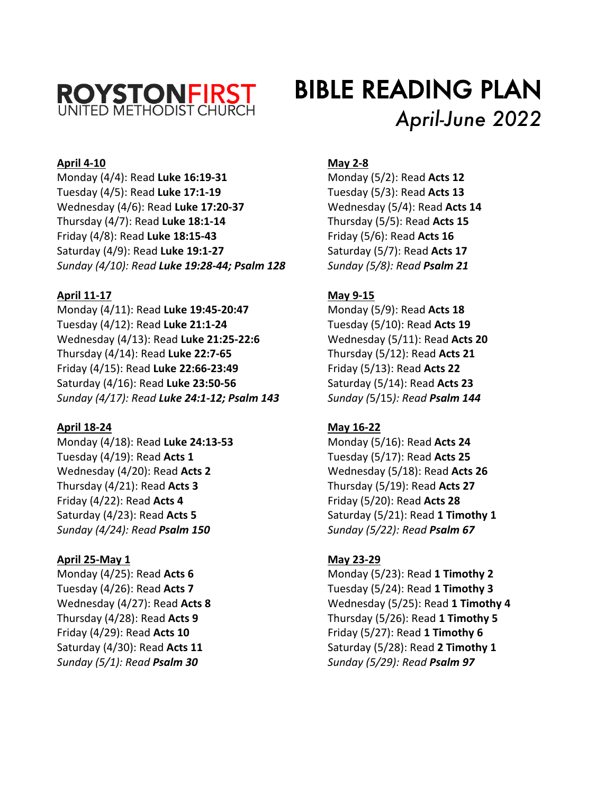

# BIBLE READING PLAN *April-June 2022*

# **April 4-10**

Monday (4/4): Read **Luke 16:19-31** Tuesday (4/5): Read **Luke 17:1-19** Wednesday (4/6): Read **Luke 17:20-37** Thursday (4/7): Read **Luke 18:1-14** Friday (4/8): Read **Luke 18:15-43** Saturday (4/9): Read **Luke 19:1-27** *Sunday (4/10): Read Luke 19:28-44; Psalm 128*

# **April 11-17**

Monday (4/11): Read **Luke 19:45-20:47** Tuesday (4/12): Read **Luke 21:1-24** Wednesday (4/13): Read **Luke 21:25-22:6** Thursday (4/14): Read **Luke 22:7-65** Friday (4/15): Read **Luke 22:66-23:49** Saturday (4/16): Read **Luke 23:50-56** *Sunday (4/17): Read Luke 24:1-12; Psalm 143*

# **April 18-24**

Monday (4/18): Read **Luke 24:13-53** Tuesday (4/19): Read **Acts 1** Wednesday (4/20): Read **Acts 2** Thursday (4/21): Read **Acts 3** Friday (4/22): Read **Acts 4** Saturday (4/23): Read **Acts 5** *Sunday (4/24): Read Psalm 150*

# **April 25-May 1**

Monday (4/25): Read **Acts 6** Tuesday (4/26): Read **Acts 7** Wednesday (4/27): Read **Acts 8** Thursday (4/28): Read **Acts 9** Friday (4/29): Read **Acts 10** Saturday (4/30): Read **Acts 11** *Sunday (5/1): Read Psalm 30*

#### **May 2-8**

Monday (5/2): Read **Acts 12** Tuesday (5/3): Read **Acts 13** Wednesday (5/4): Read **Acts 14** Thursday (5/5): Read **Acts 15** Friday (5/6): Read **Acts 16** Saturday (5/7): Read **Acts 17** *Sunday (5/8): Read Psalm 21*

# **May 9-15**

Monday (5/9): Read **Acts 18** Tuesday (5/10): Read **Acts 19** Wednesday (5/11): Read **Acts 20** Thursday (5/12): Read **Acts 21** Friday (5/13): Read **Acts 22** Saturday (5/14): Read **Acts 23** *Sunday (*5/15*): Read Psalm 144*

# **May 16-22**

Monday (5/16): Read **Acts 24** Tuesday (5/17): Read **Acts 25** Wednesday (5/18): Read **Acts 26** Thursday (5/19): Read **Acts 27** Friday (5/20): Read **Acts 28** Saturday (5/21): Read **1 Timothy 1** *Sunday (5/22): Read Psalm 67*

# **May 23-29**

Monday (5/23): Read **1 Timothy 2** Tuesday (5/24): Read **1 Timothy 3** Wednesday (5/25): Read **1 Timothy 4** Thursday (5/26): Read **1 Timothy 5** Friday (5/27): Read **1 Timothy 6** Saturday (5/28): Read **2 Timothy 1** *Sunday (5/29): Read Psalm 97*